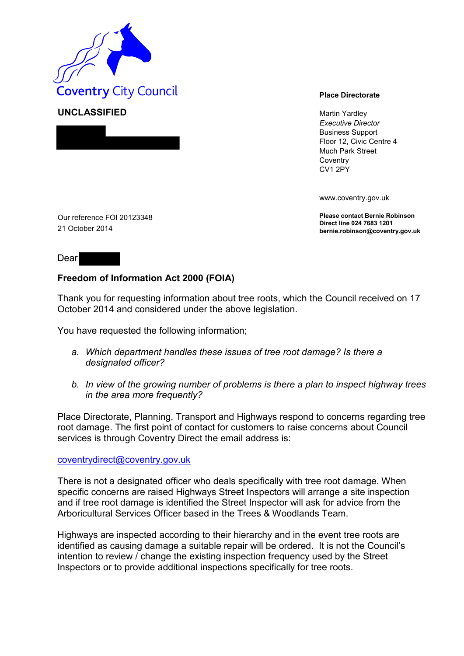

**UNCLASSIFIED** Martin Yardley *Executive Director* Business Support Floor 12, Civic Centre 4 Much Park Street **Coventry** CV1 2PY

www.coventry.gov.uk

**Please contact Bernie Robinson Direct line 024 7683 1201 bernie.robinson@coventry.gov.uk**

Our reference FOI 20123348 21 October 2014

## Dear

## **Freedom of Information Act 2000 (FOIA)**

Thank you for requesting information about tree roots, which the Council received on 17 October 2014 and considered under the above legislation.

You have requested the following information;

- *a. Which department handles these issues of tree root damage? Is there a designated officer?*
- *b. In view of the growing number of problems is there a plan to inspect highway trees in the area more frequently?*

Place Directorate, Planning, Transport and Highways respond to concerns regarding tree root damage. The first point of contact for customers to raise concerns about Council services is through Coventry Direct the email address is:

## [coventrydirect@coventry.gov.uk](mailto:coventrydirect@coventry.gov.uk)

There is not a designated officer who deals specifically with tree root damage. When specific concerns are raised Highways Street Inspectors will arrange a site inspection and if tree root damage is identified the Street Inspector will ask for advice from the Arboricultural Services Officer based in the Trees & Woodlands Team.

Highways are inspected according to their hierarchy and in the event tree roots are identified as causing damage a suitable repair will be ordered. It is not the Council's intention to review / change the existing inspection frequency used by the Street Inspectors or to provide additional inspections specifically for tree roots.